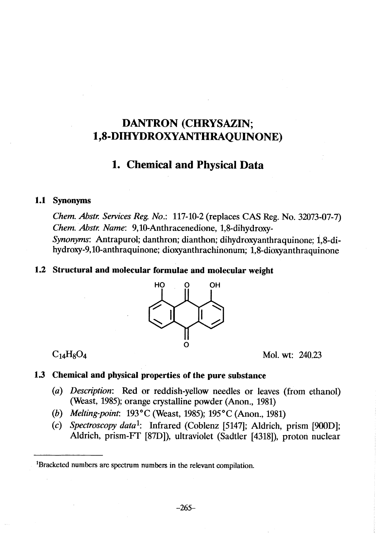# DANTRON (CHRYSAZIN; 1,8-DIHYROXYANTHRQUINONE)

## 1. Chemical and Physical Data

#### 1.1 Synonyms

ehem. Abstr. Services Reg. No.: 117-10-2 (replaces CAS Reg. No. 32073-07-7) Chem. Abstr. Name: 9,10-Anthracenedione, 1,8-dihydroxy-Synonyms: Antrapurol; danthron; dianthon; dihydroxyanthraquinone; 1,8-dihydroxy-9,10-anthraquinone; dioxyanthrachinonum; 1,8-dioxyanthraquinone

#### 1.2 Structural and molecular formulae and molecular weight



 $C_{14}H_8O_4$  Mol. wt: 240.23

### 1.3 Chemical and physical properties of the pure substance

- (a) Description: Red or reddish-yellow needles or leaves (from ethanol) (Weast, 1985); orange crystalline powder (Anon., 1981)
- (h) Me/ting-point: 193°C (Weast, 1985); 195°C (Anon., 1981)
- (c) Spectroscopy data<sup>1</sup>: Infrared (Coblenz [5147]; Aldrich, prism [900D]; Aldrich, prism-FT [87D]), ultraviolet (Sadtler [4318]), proton nuclear

lBracketed numbers are spectrum numbers in the relevant compilation.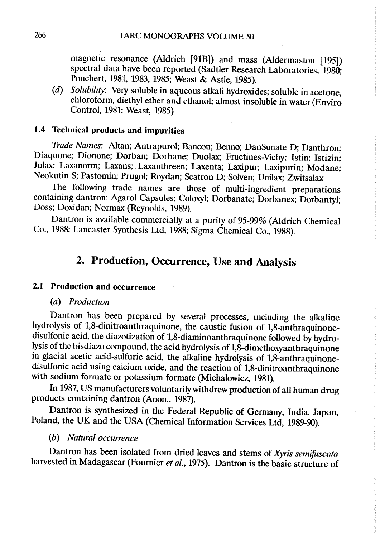magnetic resonance (Aldrich (91B)) and mass (Aldermaston (195)) spectral data have been reported (Sadtler Research Laboratories, 1980; Pouchert, 1981, 1983, 1985; Weast & Astle, 1985).

(d) Solubility: Very soluble in aqueous alkali hydroxides; soluble in acetone, chloroform, diethyl ether and ethanol; almost insoluble in water (Enviro Control, 1981; Weast, 1985)

#### i.4 Technical products and impurities

Trade Names: Altan; Antrapurol; Bancon; Benno; DanSunate D; Danthron; Diaquone; Dionone; Dorban; Dorbane; Duolax; Fructines-Vichy; Istin; Istizin; Julax; Laxanorm; Laxans; Laxanthreen; Laxenta; Laxipur; Laxipurin; Modane; Neokutin S; Pastomin; Prugol; Roydan; Scatron D; Solven; Unilax; Zwitsalax

The following trade names are those of multi-ingredient preparations containing dantron: Agarol Capsules; Coloxyl; Dorbanate; Dorbanex; Dorbantyl; Doss; Doxidan; Normax (Reynolds, 1989).

Dantron is available commercially at a purity of 95-99% (Aldrich Chemical Co., 1988; Lancaster Synthesis Ltd, 1988; Sigma Chemical Co., 1988).

# 2. Production, Occurrence, Use and Analysis

#### 2.1 Production and occurrence

#### (a) Production

Dantron has been prepared by several processes, including the alkaline hydrolysis of 1,8-dinitroanthraquinone, the caustic fusion of 1,8-anthraquinonedisulfonic acid, the diazotization of 1,8-diaminoanthraquinone followed by hydrolysis of the bisdiazo compound, the acid hydrolysis of 1,8-dimethoxyanthraquinone in glacial acetic acid-sulfuric acid, the alkaline hydrolysis of 1,8-anthraquinonedisulfonic acid using calcium oxide, and the reaction of 1,8-dinitroanthraquinone with sodium formate or potassium formate (Michalowicz, 1981).

In 1987, US manufacturers voluntarily withdrew production of all human drug products containing dantron (Anon., 1987).

Dantron is synthesized in the Federal Republic of Germany, India, Japan, Poland, the UK and the USA (Chemical Information Services Ltd, 1989-90).

#### (b) Natural occurrence

Dantron has been isolated from dried leaves and stems of Xyris semifuscata harvested in Madagascar (Fournier et al., 1975). Dantron is the basic structure of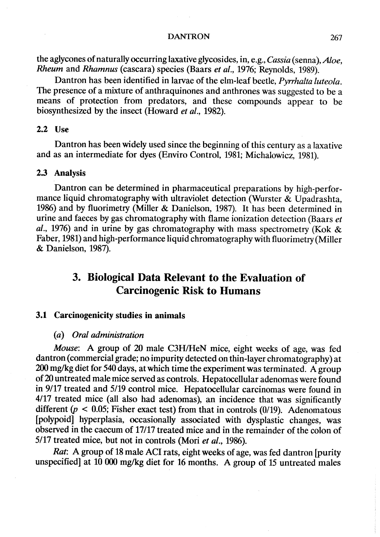the aglycones of naturally occurring laxative glycosides, in, e.g.,  $Cassia$  (senna),  $Aloe$ . Rheum and Rhamnus (cascara) species (Baars et al., 1976; Reynolds, 1989).

Dantron has been identified in larvae of the elm-leaf beetle, *Pyrrhalta luteola*. The presence of a mixure of anthraquinones and anthrones was suggested to be a means of protection from predators, and these compounds appear to be biosynthesized by the insect (Howard et al., 1982).

#### 2.2 Use

Dantron has been widely used since the beginning of this century as a laxative and as an intermediate for dyes (Enviro Control, 1981; Michalowicz, 1981).

#### 2.3 Analysis

Dantron can be determined in pharmaceutical preparations by high-performance liquid chromatography with ultraviolet detection (Wurster & Upadrashta, 1986) and by fluorimetry (Miler & Danielson, 1987). It has been determined in urine and faeces by gas chromatography with flame ionization detection (Baars  $et$ al., 1976) and in urine by gas chromatography with mass spectrometry (Kok  $\&$ Faber, 1981) and high-performance liquid chromatography with fluorimetry (Miller & Danielson, 1987).

# 3. Biological Data Relevant to the Evaluation of **Carcinogenic Risk to Humans**

#### 3.1 Carcinogenicity studies in animals

#### (a) Oral administration

Mouse: A group of 20 male C3H/HeN mice, eight weeks of age, was fed dantron (commercial grade; no impurity detected on thin-Iayer chromatography) at 20 mg/kg diet for 540 days, at which time the experiment was terminated. A group of 20 untreated male mice served as controls. Hepatocellular adenomas were found in 9/17 treated and 5/19 control mice. Hepatocellular carcinomas were found in 4/17 treated mice (all also had adenomas), an incidence that was significantly different ( $p < 0.05$ ; Fisher exact test) from that in controls (0/19). Adenomatous [polypoid] hyperplasia, occasionally associated with dysplastic changes, was observed in the caecum of 17/17 treated mice and in the remainder of the colon of 5/17 treated mice, but not in controls (Mori et al., 1986).

Rat: A group of 18 male ACI rats, eight weeks of age, was fed dantron [purity unspecified) at 10 000 mg/kg diet for 16 months. A group of 15 untreated males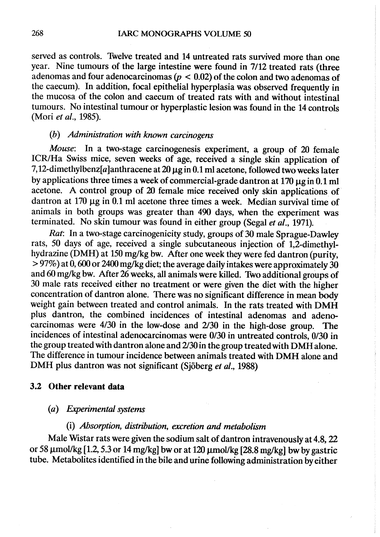served as controls. Twelve treated and 14 untreated rats survived more than one year. Nine tumours of the large intestine were found in 7112 treated rats (three adenomas and four adenocarcinomas ( $p < 0.02$ ) of the colon and two adenomas of the caecum). ln addition, focal epithelial hyperplasia was observed frequently in the mucosa of the colon and caecum of treated rats with and without intestinal tumours. No intestinal tumour or hyperplastic lesion was found in the 14 controls (Mori et al., 1985).

#### (b) Administration with knwn carcinogens

Mouse: In a two-stage carcinogenesis experiment, a group of 20 female ICR/Ha Swiss mice, seven weeks of age, received a single skin application of 7,12-dimethylbenz[a]anthracene at 20  $\mu$ g in 0.1 ml acetone, followed two weeks later by applications three times a week of commercial-grade dantron at  $170 \mu$ g in 0.1 ml acetone. A control group of 20 female mice received only skin applications of. dantron at  $170 \mu$ g in 0.1 ml acetone three times a week. Median survival time of animals in both groups was greater than 490 days, when the experiment was terminated. No skin tumour was found in either group (Segal et al., 1971).

Rat: ln a two-stage carcinogenicity study, groups of 30 male Sprague-Dawley rats, 50 days of age, received a single subcutaneous injection of 1,2-dimethylhydrazine (DMH) at 150 mg/kg bw. After one week they were fed dantron (purity,  $\approx$  97%) at 0, 600 or 2400 mg/kg diet; the average daily intakes were approximately 30 and 60 mg/kg bw. After 26 weeks, all animaIs were killed. Two additional groups of 30 male rats received either no treatment or were given the diet with the higher concentration of dantron alone. There was no significant difference in mean body weight gain between treated and control animals. In the rats treated with DMH plus dantron, the combined incidences of intestinal adenomas and adenocarcinomas were  $4/30$  in the low-dose and  $2/30$  in the high-dose group. The incidences of intestinal adenocarcinomas were 0/30 in untreated controls, 0/30 in the group treated with dantron alone and 2/30 in the group treated with DMH alone. The difference in tumour incidence between animaIs treated with DMH alone and DMH plus dantron was not significant (Sjöberg et al., 1988)

#### 3.2 Other relevant data

#### (a) Exerimental sytems

#### $(i)$  Absorption, distribution, excretion and metabolism

Male Wistar rats were given the sodium salt of dantron intravenously at 4.8, 22 or 58  $\mu$ mol/kg [1.2, 5.3 or 14 mg/kg] bw or at 120  $\mu$ mol/kg [28.8 mg/kg] bw by gastric tube. Metabolites identified in the bile and urine following administration byeither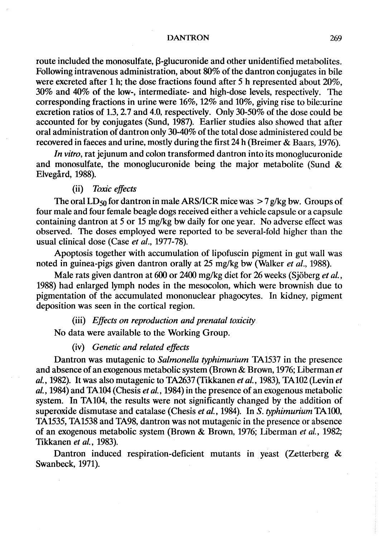route included the monosulfate, ß-glucuronide and other unidentified metabolites. Following intravenous administration, about  $80\%$  of the dantron conjugates in bile were excreted after 1 h; the dose fractions found after 5 h represented about 20%. 30% and 40% of the low-; intermediate- and high-dose levels, respectively. The corresponding fractions in urine were 16%, 12% and 10%, giving rise to bile:urine excretion ratios of 1.3, 2.7 and 4.0, respectively. Only 30-50% of the dose could be accounted for by conjugates (Sund, 1987). Earlier studies also showed that after oral administration of dantron only 30-40% of the total dose administered could be recovered in faeces and urine, mostly during the first 24 h (Breimer & Baars, 1976).

In vitro, rat jejunum and colon transformed dantron into its monoglucuronide and monosulfate, the monoglucuronide being the major metabolite (Sund & Elvegård, 1988).

#### (ii) Toxic effects

The oral LD<sub>50</sub> for dantron in male ARS/ICR mice was  $> 7$  g/kg bw. Groups of four male and four female beagle dogs received either a vehicle capsule or a capsule containing dantron at 5 or 15 mg/kg bw daily for one year. No adverse effect was observed. The doses employed were reported to be several-fold higher than the usual clinical dose (Case et al., 1977-78).

Apoptosis together with accumulation of lipofuscin pigment in gut wall was noted in guinea-pigs given dantron orally at 25 mg/kg bw (Walker *et al.*, 1988).

Male rats given dantron at 600 or 2400 mg/kg diet for 26 weeks (Sjöberg et al., 1988) had enlarged lymph nodes in the mesocolon, which were brownish due to pigmentation of the accumulated mononuclear phagocytes. ln kidney, pigment deposition was seen in the cortical region.

(iii) Effects on reproduction and prenatal toxicity

No data were available to the Working Group.

#### (iv) Genetic and related effects

Dantron was mutagenic to Salmonella typhimurium TA1537 in the presence and absence of an exogenous metabolic system (Brown & Brown, 1976; Liberman et al., 1982). It was also mutagenic to TA237 (Tikkanen et al., 1983), TA102 (Levin et al., 1984) and TA104 (Chesis et al., 1984) in the presence of an exogenous metabolic system. ln TA104, the results were not significantly changed by the addition of superoxide dismutase and catalase (Chesis et al., 1984). In S. typhimurium TA100, TA1535, TA1538 and TA98, dantron was not mutagenic in the presence or absence of an exogenous metabolic system (Brown & Brown, 1976; Liberman et al., 1982; Tikkanen et al., 1983).

Dantron induced respiration-deficient mutants in yeast (Zetterberg & Swanbeck, 1971).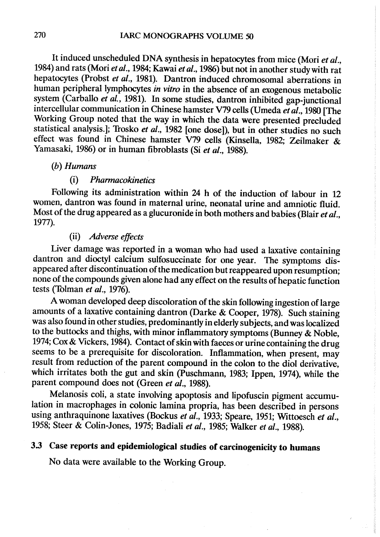It induced unscheduled DNA synthesis in hepatocytes from mice (Mori et al., 1984) and rats (Mori et al., 1984; Kawai et al., 1986) but not in another studywith rat hepatocytes (Probst et al., 1981). Dantron induced chromosomal aberrations in human peripheral lymphocytes *in vitro* in the absence of an exogenous metabolic system (Carballo et al., 1981). In some studies, dantron inhibited gap-junctional intercellular communication in Chinese hamster V79 cells (Umeda et  $\vec{a}l$ ., 1980 [The Working Group noted that the way in which the data were presented precluded statistical analysis.]; Trosko et al., 1982 [one dose]), but in other studies no such effect was found in Chinese hamster V79 cells (Kinsella, 1982; Zeilmaker & Yamasaki, 1986) or in human fibroblasts (Si et al., 1988).

### (h) Humans

### (i) Pharmacokinetics

Following its administration within 24 h of the induction of labour in 12 women, dantron was found in maternal urine, neonatal urine and amniotic fluid. Most of the drug appeared as a glucuronide in both mothers and babies (Blair et al., 1977).

#### (ii) Adverse effects

Liver damage was reported in a woman who had used a laxative containing dantron and dioctyl calcium sulfosuccinate for one year. The symptoms disappeared after discontinuation of the medication but reappeared upon resumption; none of the compounds given alone had any effect on the results of hepatic function tests (Tolman et al., 1976).

A woman developed deep discoloration of the skin following ingestion of large amounts of a laxative containing dantron (Darke & Cooper, 1978). Such staining was also found in other studies, predominantly in elderly subjects, and was localized to the buttocks and thighs, with minor inflammatory symptoms (Bunney & Noble, 1974; Cox & Vickers, 1984). Contact of skin with faeces or urine containing the drug seems to be a prerequisite for discoloration. Inflammation, when present, may result from reduction of the parent compound in the colon to the diol derivative, which irritates both the gut and skin (Puschmann, 1983; Ippen, 1974), while the parent compound does not (Green et al., 1988).

Melanosis coli, a state involving apoptosis and lipofuscin pigment accumulation in macrophages in colonic lamina propria, has been described in persons using anthraquinone laxatives (Bockus et al., 1933; Speare, 1951; Wittoesch et al., 1958; Steer & Colin-Jones, 1975; Badiali et al., 1985; Walker et al., 1988).

# 3.3 Case reports and epidemiological studies of carcinogenicity to humans

No data were available to the Working Group.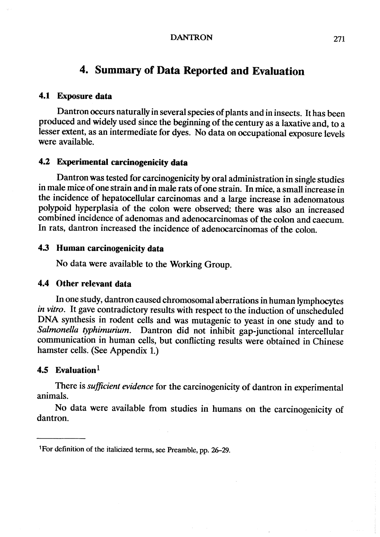## 4. Summary of Data Reported and Evaluation

#### 4.1 Exposure data

Dantron ocurs naturally in several species of plants and in insects. It has been produced and widely used since the beginning of the century as a laxative and, to a lesser extent, as an intermediate for dyes. No data on occupational exposure levels were available.

### 4.2 Experimental carcinogenicity data

Dantron was tested for carcinogenicity by oral administration in single studies in male mice of one strain and in male rats of one strain. In mice, a small increase in the incidence of hepatocellular carcinomas and a large increase in adenomatous polypoid hyperplasia of the colon were observed; there was also an increased combined incidence of adenomas and adenocarcinomas of the colon and caecum. ln rats, dantron increased the incidence of adenocarcinomas of the colon.

#### 4.3 Human carcinogenicity data

No data were available to the Working Group.

#### 4.4 Other relevant data

ln one study, dantron caused chromosomal aberrations in human lymphocytes in vitro. It gave contradictory results with respect to the induction of unscheduled DNA synthesis in rodent cells and was mutagenic to yeast in one study and to Salmonella typhimurium. Dantron did not inhibit gap-junctional intercellular communication in human cells, but conflicting results were obtained in Chinese hamster cells. (See Appendix 1.)

## 4.5 Evaluation $1$

There is sufficient evidence for the carcinogenicity of dantron in experimental animaIs.

No data were available from studies in humans on the carcinogenicity of dantron.

<sup>&</sup>lt;sup>1</sup>For definition of the italicized terms, see Preamble, pp. 26–29.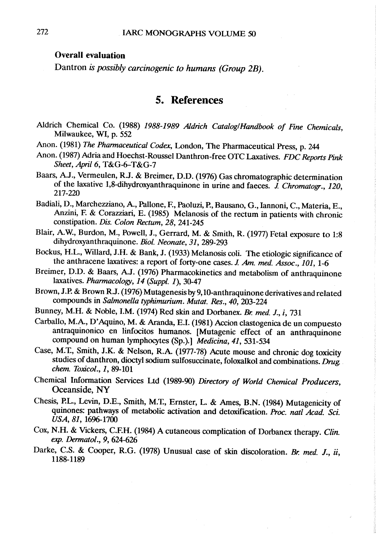#### Overall evaluation

Dantron is possibly carcinogenic to humans (Group 2B).

### 5. References

- Aldrich Chemical Co. (1988) 1988-1989 Aldrich Catalog/Handbook of Fine Chemicals, Milwaukee, WI, p. 552
- Anon. (1981) The Pharmaceutical Codex, London, The Pharmaceutical Press, p. 244
- Anon. (1987) Adria and Hoechst-Roussel Danthron-free OTC Laxatives. FDC Reports Pink Sheet, April 6,  $T&G-6-T&G-7$
- Baars, A.J., Vermeulen, R.J. & Breimer, D.D. (1976) Gas chromatographie determination of the laxative 1,8-dihydroxyanthraquinone in urine and faeces.  $\hat{J}$ . Chromatogr., 120, 217-220
- Badiali, D., Marchezziano, A., Pallone, F., Paoluzi,"P, Bausano, G., Iannoni, C., Materia, E., Anzini, F. & Corazziari, E. (1985) Melanosis of the rectum in patients with chronic constipation. Dis. Colon Rectum, 28, 241-245
- Blair, A.W., Burdon, M., Powell, J., Gerrard, M. & Smith, R. (1977) Fetal exposure to 1:8 dihydroxyanthraquinone. Biol. Neonate, 31, 289-293
- Bockus, H.L., Willard, J.H. & Bank, J. (1933) Melanosis coli. The etiologic significance of the anthracene laxatives: a report of forty-one cases.  $J.$  Am. med. Assoc., 101, 1-6
- Breimer, D.D. & Baars, A.J. (1976) Pharmacokinetics and metabolism of anthraquinone laxatives. Pharmacology, 14 (Suppl. 1), 30-47
- Brown, J.P. & Brown R.J. (1976) Mutagenesis by 9,10-anthraquinone derivatives and related compounds in Salmonella typhimurium. Mutat. Res., 40, 203-224
- Bunney, M.H. & Noble, I.M. (1974) Red skin and Dorbanex. Br. med. J., i, 731
- Carballo, M.A., D'Aquino, M. & Aranda, E.I. (1981) Acion clastogenica de un compuesto antraquinonico en linfocitos humanos. [Mutagenic effect of an anthraquinone compound on human lymphocytes (Sp.).] Medicina, 41, 531-534
- Case, M.T., Smith, J.K. & Nelson, R.A. (1977-78) Acute mouse and chronic dog toxicity studies of danthron, dioctyl sodium sulfosuccinate, foloxalkol and combinations. Drug. chem. Toxicol., 1, 89-101
- Chemical Information Services Ltd (1989-90) Directory of World Chemical Producers, Oceanside, NY
- Chesis, P.L., Levin, D.E., Smith, M.T., Ernster, L. & Ames, B.N. (1984) Mutagenicity of quinones: pathways of metabolic activation and detoxification. Proc. natl Acad. Sci. USA, 81, 1696-1700
- Cox, N.H. & Vickers, C.F.H. (1984) A cutaneous complication of Dorbanex therapy. Clin. exp. Dermatol., 9, 624-626
- Darke, C.S. & Cooper, R.G. (1978) Unusual case of skin discoloration. Br. med. J., ii, 1188-1189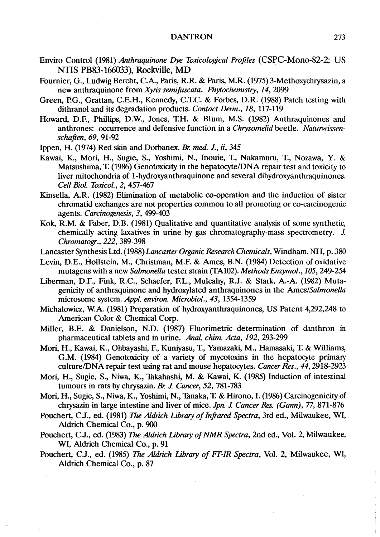- Enviro Control (1981) Anthraquinone Dye Toxicological Profiles (CSPC-Mono-82-2; US NTIS PB83-166033), Rockville, MD
- Fournier, G., Ludwig Bercht, C.A., Paris, R.R. & Paris, M.R. (1975) 3-Methoxychrysazin, a new anthraquinone from Xyris semifuscata. Phytochemistry, 14, 2099
- Green, P.G., Grattan, C.E.H., Kennedy, C.T.C. & Forbes, D.R. (1988) Patch testing with dithranol and its degradation products. Contact Derm., 18, 117-119
- Howard, D.F., Phillips, D.W., Jones, T.H. & Blum, M.S. (1982) Anthraquinones and anthrones: occurrence and defensive function in a Chrysomelid beetle. Naturwissenschaften, 69, 91-92
- Ippen, H. (1974) Red skin and Dorbanex. Br. med. J., ii, 345
- Kawai, K., Mori, H., Sugie, S., Yoshimi, N., Inouie, T., Nakamuru, T., Nozawa, Y. & Matsushima, T. (1986) Genotoxicity in the hepatocyte/DNA repair test and toxicity to liver mitochondria of 1-hydroxyanthraquinone and several dihydroxyanthraquinones. Cell Biol. Toxicol., 2,457-467
- Kinsella, A.R. (1982) Elimination of metabolic co-operation and the induction of sister chromatid exchanges are not properties corn mon to all promoting or co-carcinogenic agènts. Carcinogenesis, 3, 499-403
- Kok, R.M. & Faber, D.B. (1981) Qualitative and quantitative analysis of some synthetic, chemically acting laxatives in urine by gas chromatography-mass spectrometry. J. Chromatogr., 222, 389-398
- Lancaster Synthesis Ltd. (1988) Lancaster Organic Research Chemicals, Windham, NH, p. 380
- Levin, D.E., Hollstein, M., Christman, M.F. & Ames, B.N. (1984) Detection of oxidative mutagens with a new Salmonella tester strain (TA102). Methods Enzymol., 105, 249-254
- Liberman, D.E, Fink, R.C., Schaefer, EL., Mulcahy, R.J. & Stark, A.-A. (1982) Mutagenicity of anthraquinone and hydroxylated anthraquinones in the Ames/Salmonella microsome system. Appl. environ. Microbiol., 43, 1354-1359
- Michalowicz, W.A. (1981) Preparation of hydroxyanthraquinones, US Patent 4,292,248 to American Color & Chemical Corp.
- Miller, B.E. & Danielson, N.D. (1987) Fluorimetric determination of danthron in pharmaceutical tablets and in urine. Anal. chim. Acta, 192, 293-299
- Mori, H., Kawai, K., Ohbayashi, E, Kuniyasu, 1:, Yamazaki, M., Hamasaki, 'f & Wiliams, G.M. (1984) Genotoxicity of a variety of mycotoxins in the hepatocyte primary culture/DNA repair test using rat and mouse hepatocytes. Cancer Res., 44, 2918-2923
- Mori, H., Sugie, S., Niwa, K., Thkahashi, M. & Kawai, K. (1985) Induction of intestinal tumours in rats by chrysazin. Br. J. Cancer, 52, 781-783
- Mori, H., Sugie, S., Niwa, K., Yoshimi, N., Tanaka, T. & Hirono, I. (1986) Carcinogenicity of chrysazin in large intestine and liver of mice. Jpn. J. Cancer Res. (Gann), 77, 871-876
- Pouchert, C.J., ed. (1981) The Aldrich Library of Infrared Spectra, 3rd ed., Milwaukee, WI, Aldrich Chemical Co., p. 90
- Pouchert, C.J., ed. (1983) The Aldrich Library of NMR Spectra, 2nd ed., Vol. 2, Milwaukee, WI, Aldrich Chemical Co., p. 91
- Pouchert, C.J., ed. (1985) The Aldrich Library of FT-IR Spectra, Vol. 2, Milwaukee, WI, Aldrich Chemical Co., p. 87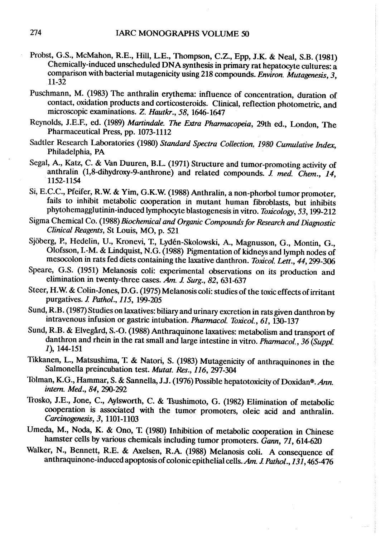- Probst, G.S., McMahon, R.E., Hil, L.E., Thompson, C.Z., Epp, J.K. & Neal, S.B. (1981) Chemically-induced unscheduled DNA synthesis in primary rat hepatocyte cultures: a comparison with bacterial mutagenicity using 218 compounds. Environ. Mutagenesis, 3, 11-32
- Puschmann, M. (1983) The anthralin erythema: influence of concentration, duration of contact, oxidation products and corticosteroids. Clinical, reflection photometric, and microscopic examinations. Z. Hautkr., 58, 1646-1647
- Reynolds, J.E.F., ed. (1989) Martindale. The Extra Pharmacopeia, 29th ed., London, The Pharmaceutical Press, pp. 1073-1112
- Sadtler Research Laboratories (1980) Standard Spectra Collection, 1980 Cumulative Index, Philadelphia, PA
- Segal, A., Katz, C. & Van Duuren, B.L. (1971) Structure and tumor-promoting activity of anthralin (1,8-dihydroxy-9-anthrone) and related compounds. J. med. Chem., 14, 1152-1154
- Si, E.C.C., Pfeifer, R.W. & Yim, G.K.W. (1988) Anthralin, a non-phorbol tumor promoter, fails to inhibit metabolic coperation in mutant human fibroblasts, but inhibits phytohemagglutinin-induced lymphocyte blastogenesis in vitro. Toxicology, 53, 199-212
- Sigma Chemical Co. (1988) Biochemical and Organic Compounds for Research and Diagnostic Clinical Reagents, St Louis, MO, p. 521
- Sjöberg, P., Hedelin, U., Kronevi, 1:, Lydén-Skolowski, A., Magnusson, G., Montin, G., Olofsson, I.-M. & Lidquist, N.G. (1988) Pigmentation of kidneys and lymph nodes of mesocolon in rats fed diets containing the laxative danthron. Toxicol. Lett., 44, 299-306
- Speare, G.S. (1951) Melanosis coli: experimental observations on its production and elimination in twenty-three cases.  $\hat{A}m$ . J. Surg., 82, 631-637
- Steer, H.W. & Colin-Jones, D.G. (1975) Melanosis coli: studies of the toxic effects of irritant purgatives. J. Pathol., 115, 199-205
- Sund, R.B. (1987) Studies on laxatives: biliary and urinary excretion in rats given danthron by intravenous infusion or gastric intubation. Pharmacol. Toxicol., 61, 130-137
- Sund, R.B. & Elvegård, S.-O. (1988) Anthraquinone laxatives: metabolism and transport of danthron and rhein in the rat small and large intestine in vitro. Pharmacol., 36 (Suppl. 1), 144-151
- Tikkanen, L., Matsushima, T. & Natori, S. (1983) Mutagenicity of anthraquinones in the Salmonella preincubation test. Mutat. Res., 116, 297-304
- Tolman, K.G., Hammar, S. & Sannella, J.J. (1976) Possible hepatotoxicity of Doxidan®. Ann. intern. Med., 84, 290-292
- Trosko, J.E., Jone, C., Aylsworth, C. & Tsushimoto, G. (1982) Elimination of metabolic cooperation is associated with the tumor promoters, oleic acid and anthralin. Carcinogenesis, 3, 1101-1103
- Umeda, M., Noda, K. & Ono, T. (1980) Inhibition of metabolic cooperation in Chinese hamster cells by various chemicals including tumor promoters. Gann, 71, 614-620
- Walker, N., Bennett, R.E. & Axelsen, R.A (1988) Melanosis coli. A consequence of anthraquinone-induced apoptosis of colonic epithelial cells. Am. J. Pathol., 131, 465-476